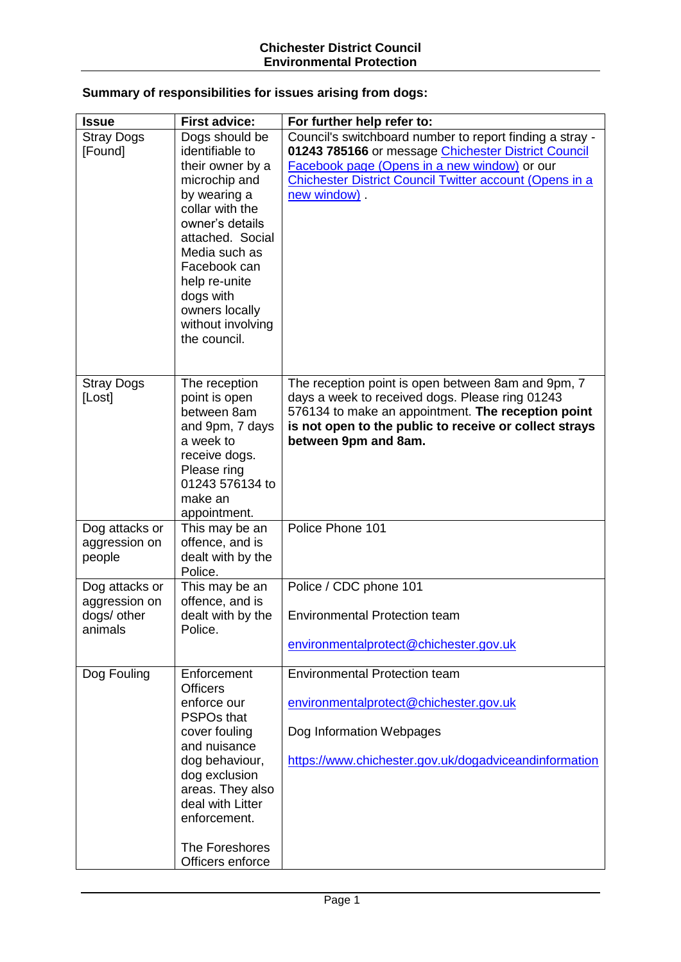## **Summary of responsibilities for issues arising from dogs:**

| <b>Issue</b>                                              | <b>First advice:</b>                                                                                                                                                                                                                                                   | For further help refer to:                                                                                                                                                                                                                       |
|-----------------------------------------------------------|------------------------------------------------------------------------------------------------------------------------------------------------------------------------------------------------------------------------------------------------------------------------|--------------------------------------------------------------------------------------------------------------------------------------------------------------------------------------------------------------------------------------------------|
| <b>Stray Dogs</b><br>[Found]                              | Dogs should be<br>identifiable to<br>their owner by a<br>microchip and<br>by wearing a<br>collar with the<br>owner's details<br>attached. Social<br>Media such as<br>Facebook can<br>help re-unite<br>dogs with<br>owners locally<br>without involving<br>the council. | Council's switchboard number to report finding a stray -<br>01243 785166 or message Chichester District Council<br>Facebook page (Opens in a new window) or our<br><b>Chichester District Council Twitter account (Opens in a</b><br>new window) |
| <b>Stray Dogs</b><br>[Lost]                               | The reception<br>point is open<br>between 8am<br>and 9pm, 7 days<br>a week to<br>receive dogs.<br>Please ring<br>01243 576134 to<br>make an<br>appointment.                                                                                                            | The reception point is open between 8am and 9pm, 7<br>days a week to received dogs. Please ring 01243<br>576134 to make an appointment. The reception point<br>is not open to the public to receive or collect strays<br>between 9pm and 8am.    |
| Dog attacks or<br>aggression on<br>people                 | This may be an<br>offence, and is<br>dealt with by the<br>Police.                                                                                                                                                                                                      | Police Phone 101                                                                                                                                                                                                                                 |
| Dog attacks or<br>aggression on<br>dogs/ other<br>animals | This may be an<br>offence, and is<br>dealt with by the<br>Police.                                                                                                                                                                                                      | Police / CDC phone 101<br><b>Environmental Protection team</b><br>environmentalprotect@chichester.gov.uk                                                                                                                                         |
| Dog Fouling                                               | Enforcement<br><b>Officers</b><br>enforce our<br><b>PSPOs that</b><br>cover fouling<br>and nuisance<br>dog behaviour,<br>dog exclusion<br>areas. They also<br>deal with Litter<br>enforcement.<br>The Foreshores<br>Officers enforce                                   | <b>Environmental Protection team</b><br>environmentalprotect@chichester.gov.uk<br>Dog Information Webpages<br>https://www.chichester.gov.uk/dogadviceandinformation                                                                              |